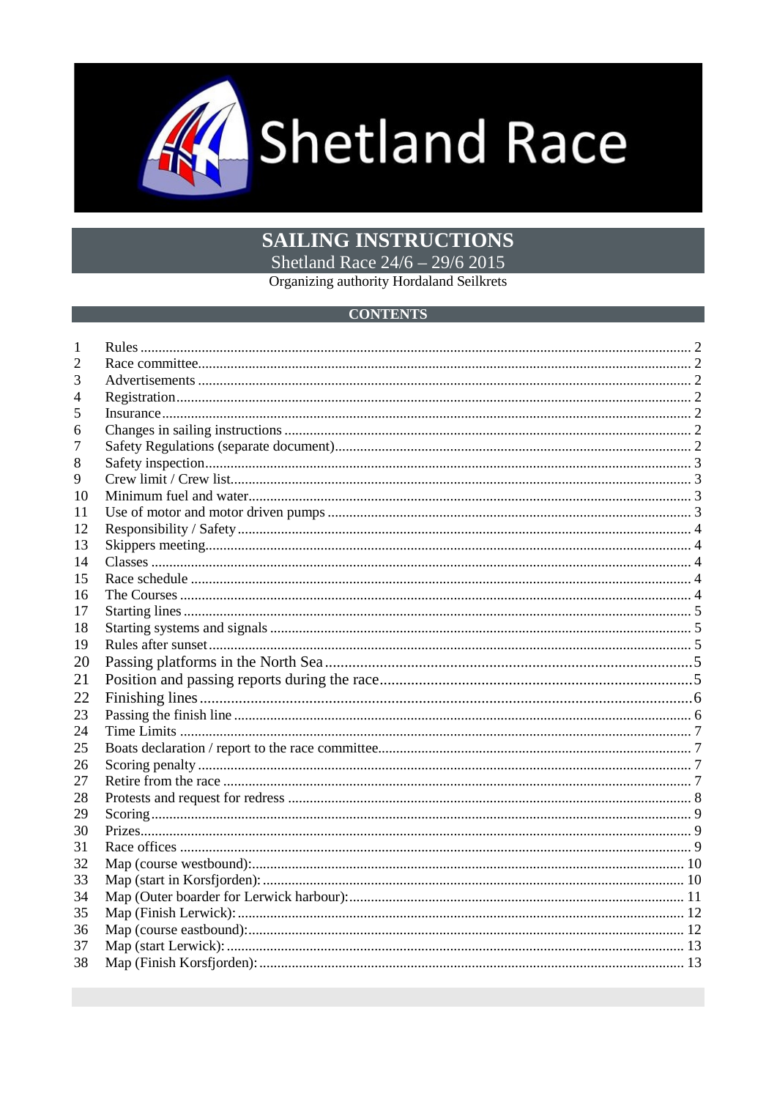

# **SAILING INSTRUCTIONS**

Shetland Race  $24/6 - 29/6$  2015

**Organizing authority Hordaland Seilkrets** 

### **CONTENTS**

| 1  |  |
|----|--|
| 2  |  |
| 3  |  |
| 4  |  |
| 5  |  |
| 6  |  |
| 7  |  |
| 8  |  |
| 9  |  |
| 10 |  |
| 11 |  |
| 12 |  |
| 13 |  |
| 14 |  |
| 15 |  |
| 16 |  |
| 17 |  |
| 18 |  |
| 19 |  |
| 20 |  |
| 21 |  |
| 22 |  |
| 23 |  |
| 24 |  |
| 25 |  |
| 26 |  |
| 27 |  |
| 28 |  |
| 29 |  |
| 30 |  |
| 31 |  |
| 32 |  |
| 33 |  |
| 34 |  |
| 35 |  |
| 36 |  |
| 37 |  |
| 38 |  |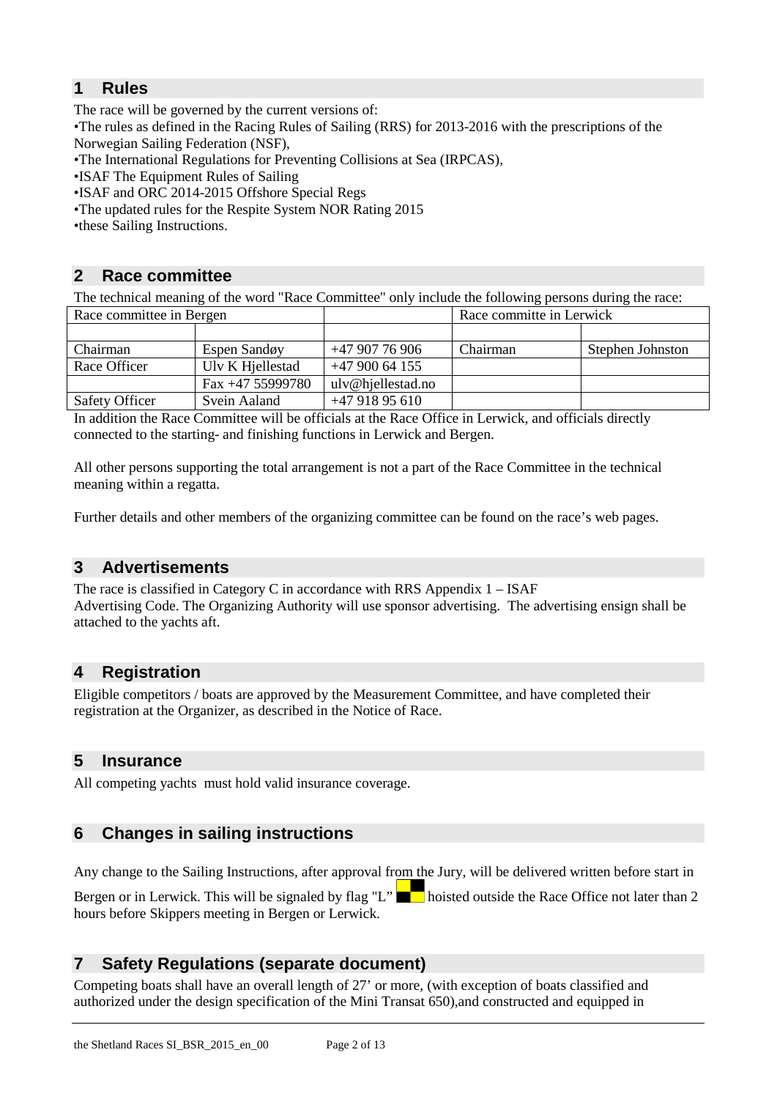## <span id="page-1-0"></span>**1 Rules**

The race will be governed by the current versions of:

•The rules as defined in the Racing Rules of Sailing (RRS) for 2013-2016 with the prescriptions of the Norwegian Sailing Federation (NSF),

- •The International Regulations for Preventing Collisions at Sea (IRPCAS),
- •ISAF The Equipment Rules of Sailing
- •ISAF and ORC 2014-2015 Offshore Special Regs
- •The updated rules for the Respite System NOR Rating 2015

•these Sailing Instructions.

## <span id="page-1-1"></span>**2 Race committee**

The technical meaning of the word "Race Committee" only include the following persons during the race:

| Race committee in Bergen |                    |                   | Race committe in Lerwick |                  |
|--------------------------|--------------------|-------------------|--------------------------|------------------|
|                          |                    |                   |                          |                  |
| Chairman                 | Espen Sandøy       | $+4790776906$     | Chairman                 | Stephen Johnston |
| Race Officer             | Ulv K Hjellestad   | $+4790064155$     |                          |                  |
|                          | Fax $+47$ 55999780 | ulv@hjellestad.no |                          |                  |
| <b>Safety Officer</b>    | Svein Aaland       | $+4791895610$     |                          |                  |

In addition the Race Committee will be officials at the Race Office in Lerwick, and officials directly connected to the starting- and finishing functions in Lerwick and Bergen.

All other persons supporting the total arrangement is not a part of the Race Committee in the technical meaning within a regatta.

Further details and other members of the organizing committee can be found on the race's web pages.

## <span id="page-1-2"></span>**3 Advertisements**

The race is classified in Category C in accordance with RRS Appendix 1 – ISAF Advertising Code. The Organizing Authority will use sponsor advertising. The advertising ensign shall be attached to the yachts aft.

## <span id="page-1-3"></span>**4 Registration**

Eligible competitors / boats are approved by the Measurement Committee, and have completed their registration at the Organizer, as described in the Notice of Race.

## <span id="page-1-4"></span>**5 Insurance**

All competing yachts must hold valid insurance coverage.

## <span id="page-1-5"></span>**6 Changes in sailing instructions**

Any change to the Sailing Instructions, after approval from the Jury, will be delivered written before start in Bergen or in Lerwick. This will be signaled by flag "L"  $\Box$  hoisted outside the Race Office not later than 2 hours before Skippers meeting in Bergen or Lerwick.

## <span id="page-1-6"></span>**7 Safety Regulations (separate document)**

Competing boats shall have an overall length of 27' or more, (with exception of boats classified and authorized under the design specification of the Mini Transat 650),and constructed and equipped in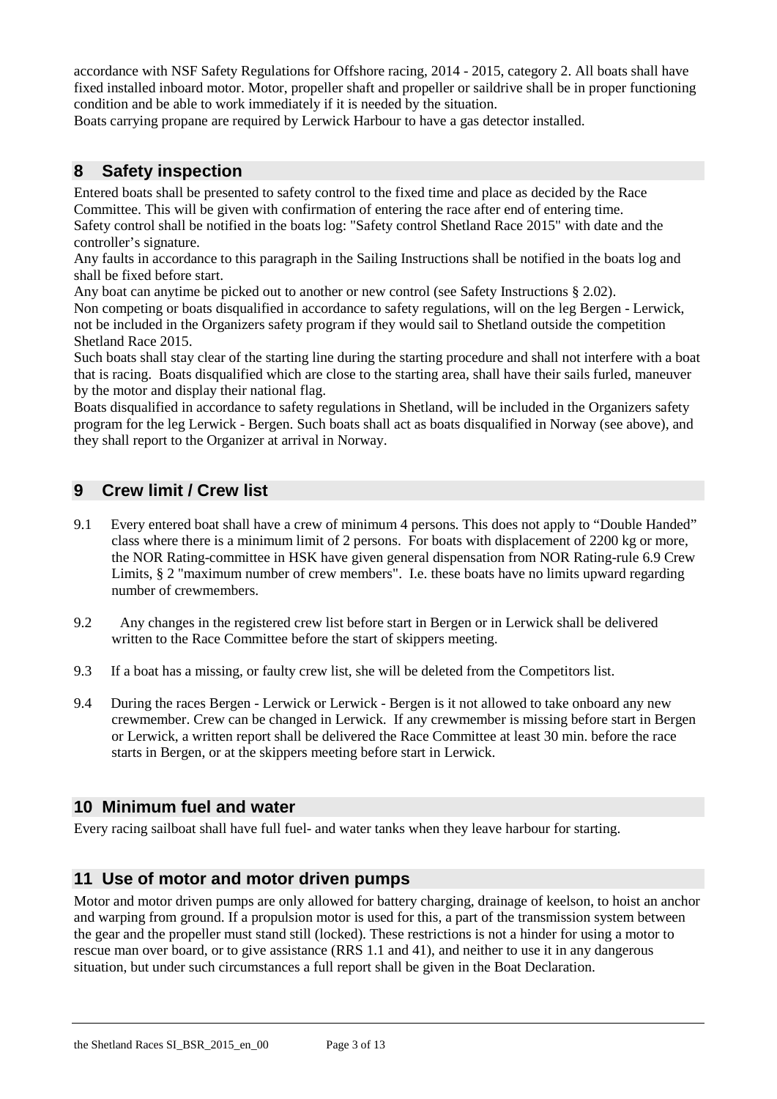accordance with NSF Safety Regulations for Offshore racing, 2014 - 2015, category 2. All boats shall have fixed installed inboard motor. Motor, propeller shaft and propeller or saildrive shall be in proper functioning condition and be able to work immediately if it is needed by the situation.

Boats carrying propane are required by Lerwick Harbour to have a gas detector installed.

## <span id="page-2-0"></span>**8 Safety inspection**

Entered boats shall be presented to safety control to the fixed time and place as decided by the Race Committee. This will be given with confirmation of entering the race after end of entering time. Safety control shall be notified in the boats log: "Safety control Shetland Race 2015" with date and the controller's signature.

Any faults in accordance to this paragraph in the Sailing Instructions shall be notified in the boats log and shall be fixed before start.

Any boat can anytime be picked out to another or new control (see Safety Instructions § 2.02).

Non competing or boats disqualified in accordance to safety regulations, will on the leg Bergen - Lerwick, not be included in the Organizers safety program if they would sail to Shetland outside the competition Shetland Race 2015.

Such boats shall stay clear of the starting line during the starting procedure and shall not interfere with a boat that is racing. Boats disqualified which are close to the starting area, shall have their sails furled, maneuver by the motor and display their national flag.

Boats disqualified in accordance to safety regulations in Shetland, will be included in the Organizers safety program for the leg Lerwick - Bergen. Such boats shall act as boats disqualified in Norway (see above), and they shall report to the Organizer at arrival in Norway.

## <span id="page-2-1"></span>**9 Crew limit / Crew list**

- 9.1 Every entered boat shall have a crew of minimum 4 persons. This does not apply to "Double Handed" class where there is a minimum limit of 2 persons. For boats with displacement of 2200 kg or more, the NOR Rating-committee in HSK have given general dispensation from NOR Rating-rule 6.9 Crew Limits, § 2 "maximum number of crew members". I.e. these boats have no limits upward regarding number of crewmembers.
- 9.2 Any changes in the registered crew list before start in Bergen or in Lerwick shall be delivered written to the Race Committee before the start of skippers meeting.
- 9.3 If a boat has a missing, or faulty crew list, she will be deleted from the Competitors list.
- 9.4 During the races Bergen Lerwick or Lerwick Bergen is it not allowed to take onboard any new crewmember. Crew can be changed in Lerwick. If any crewmember is missing before start in Bergen or Lerwick, a written report shall be delivered the Race Committee at least 30 min. before the race starts in Bergen, or at the skippers meeting before start in Lerwick.

## <span id="page-2-2"></span>**10 Minimum fuel and water**

Every racing sailboat shall have full fuel- and water tanks when they leave harbour for starting.

## <span id="page-2-3"></span>**11 Use of motor and motor driven pumps**

Motor and motor driven pumps are only allowed for battery charging, drainage of keelson, to hoist an anchor and warping from ground. If a propulsion motor is used for this, a part of the transmission system between the gear and the propeller must stand still (locked). These restrictions is not a hinder for using a motor to rescue man over board, or to give assistance (RRS 1.1 and 41), and neither to use it in any dangerous situation, but under such circumstances a full report shall be given in the Boat Declaration.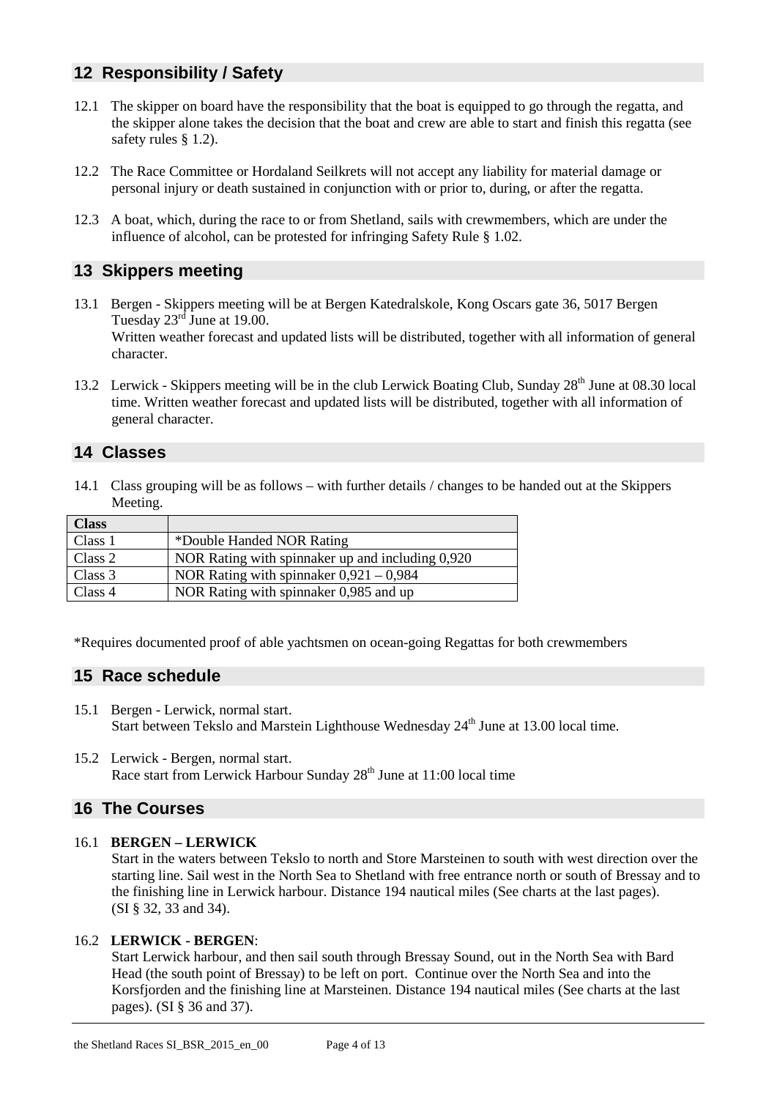## <span id="page-3-0"></span>**12 Responsibility / Safety**

- 12.1 The skipper on board have the responsibility that the boat is equipped to go through the regatta, and the skipper alone takes the decision that the boat and crew are able to start and finish this regatta (see safety rules § 1.2).
- 12.2 The Race Committee or Hordaland Seilkrets will not accept any liability for material damage or personal injury or death sustained in conjunction with or prior to, during, or after the regatta.
- 12.3 A boat, which, during the race to or from Shetland, sails with crewmembers, which are under the influence of alcohol, can be protested for infringing Safety Rule § 1.02.

## <span id="page-3-1"></span>**13 Skippers meeting**

- 13.1 Bergen Skippers meeting will be at Bergen Katedralskole, Kong Oscars gate 36, 5017 Bergen Tuesday  $23^{\text{rd}}$  June at 19.00. Written weather forecast and updated lists will be distributed, together with all information of general character.
- 13.2 Lerwick Skippers meeting will be in the club Lerwick Boating Club, Sunday 28<sup>th</sup> June at 08.30 local time. Written weather forecast and updated lists will be distributed, together with all information of general character.

## <span id="page-3-2"></span>**14 Classes**

14.1 Class grouping will be as follows – with further details / changes to be handed out at the Skippers Meeting.

<span id="page-3-3"></span>\*Requires documented proof of able yachtsmen on ocean-going Regattas for both crewmembers

## **15 Race schedule**

- 15.1 Bergen Lerwick, normal start. Start between Tekslo and Marstein Lighthouse Wednesday 24<sup>th</sup> June at 13.00 local time.
- 15.2 Lerwick Bergen, normal start. Race start from Lerwick Harbour Sunday 28<sup>th</sup> June at 11:00 local time

## <span id="page-3-4"></span>**16 The Courses**

#### 16.1 **BERGEN – LERWICK**

Start in the waters between Tekslo to north and Store Marsteinen to south with west direction over the starting line. Sail west in the North Sea to Shetland with free entrance north or south of Bressay and to the finishing line in Lerwick harbour. Distance 194 nautical miles (See charts at the last pages). (SI § 32, 33 and 34).

#### 16.2 **LERWICK - BERGEN**:

Start Lerwick harbour, and then sail south through Bressay Sound, out in the North Sea with Bard Head (the south point of Bressay) to be left on port. Continue over the North Sea and into the Korsfjorden and the finishing line at Marsteinen. Distance 194 nautical miles (See charts at the last pages). (SI § 36 and 37).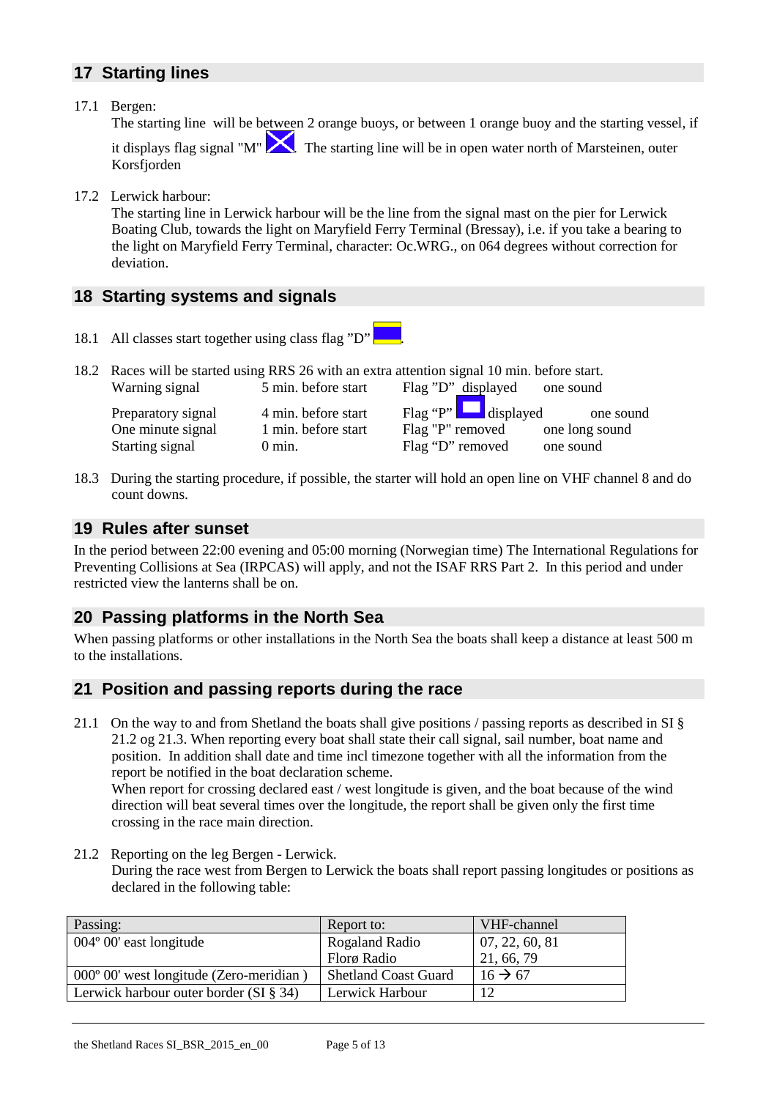## <span id="page-4-0"></span>**17 Starting lines**

#### 17.1 Bergen:

The starting line will be between 2 orange buoys, or between 1 orange buoy and the starting vessel, if it displays flag signal " $M''$   $\sum$ . The starting line will be in open water north of Marsteinen, outer Korsfjorden

17.2 Lerwick harbour:

The starting line in Lerwick harbour will be the line from the signal mast on the pier for Lerwick Boating Club, towards the light on Maryfield Ferry Terminal (Bressay), i.e. if you take a bearing to the light on Maryfield Ferry Terminal, character: Oc.WRG., on 064 degrees without correction for deviation.

### <span id="page-4-1"></span>**18 Starting systems and signals**

- 18.1 All classes start together using class flag "D" .
- 18.2 Races will be started using RRS 26 with an extra attention signal 10 min. before start. Warning signal 5 min. before start Flag "D" displayed one sound Preparatory signal 4 min. before start Flag "P" displayed one sound<br>One minute signal 1 min. before start Flag "P" removed one long sound One minute signal 1 min. before start Flag "P" removed one long sound

Starting signal 0 min. Flag "D" removed one sound

18.3 During the starting procedure, if possible, the starter will hold an open line on VHF channel 8 and do count downs.

#### <span id="page-4-2"></span>**19 Rules after sunset**

In the period between 22:00 evening and 05:00 morning (Norwegian time) The International Regulations for Preventing Collisions at Sea (IRPCAS) will apply, and not the ISAF RRS Part 2. In this period and under restricted view the lanterns shall be on.

## <span id="page-4-3"></span>**20 Passing platforms in the North Sea**

When passing platforms or other installations in the North Sea the boats shall keep a distance at least 500 m to the installations.

## **21 Position and passing reports during the race**

21.1 On the way to and from Shetland the boats shall give positions / passing reports as described in SI § 21.2 og 21.3. When reporting every boat shall state their call signal, sail number, boat name and position. In addition shall date and time incl timezone together with all the information from the report be notified in the boat declaration scheme.

When report for crossing declared east / west longitude is given, and the boat because of the wind direction will beat several times over the longitude, the report shall be given only the first time crossing in the race main direction.

21.2 Reporting on the leg Bergen - Lerwick. During the race west from Bergen to Lerwick the boats shall report passing longitudes or positions as declared in the following table:

| Passing:                                  | Report to:                  | VHF-channel         |
|-------------------------------------------|-----------------------------|---------------------|
| $004^{\circ}$ 00' east longitude          | Rogaland Radio              | 07, 22, 60, 81      |
|                                           | Florø Radio                 | 21, 66, 79          |
| 000° 00' west longitude (Zero-meridian)   | <b>Shetland Coast Guard</b> | $16 \rightarrow 67$ |
| Lerwick harbour outer border $(SI \S 34)$ | Lerwick Harbour             | 12                  |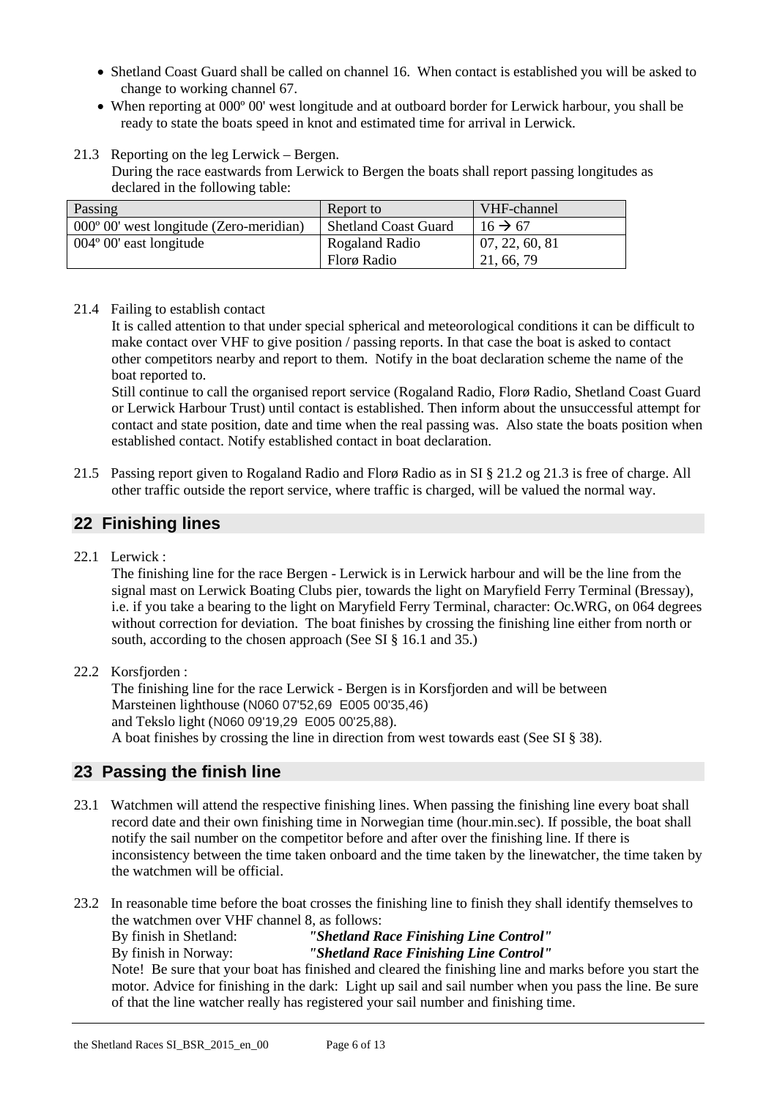- Shetland Coast Guard shall be called on channel 16. When contact is established you will be asked to change to working channel 67.
- When reporting at 000<sup>°</sup> 00' west longitude and at outboard border for Lerwick harbour, you shall be ready to state the boats speed in knot and estimated time for arrival in Lerwick.

#### 21.3 Reporting on the leg Lerwick – Bergen.

During the race eastwards from Lerwick to Bergen the boats shall report passing longitudes as declared in the following table:

| Passing                                          | Report to                   | VHF-channel         |
|--------------------------------------------------|-----------------------------|---------------------|
| $000^{\circ}$ 00' west longitude (Zero-meridian) | <b>Shetland Coast Guard</b> | $16 \rightarrow 67$ |
| $004^{\circ}$ 00' east longitude                 | Rogaland Radio              | 07, 22, 60, 81      |
|                                                  | Florø Radio                 | 21, 66, 79          |

#### 21.4 Failing to establish contact

It is called attention to that under special spherical and meteorological conditions it can be difficult to make contact over VHF to give position / passing reports. In that case the boat is asked to contact other competitors nearby and report to them. Notify in the boat declaration scheme the name of the boat reported to.

Still continue to call the organised report service (Rogaland Radio, Florø Radio, Shetland Coast Guard or Lerwick Harbour Trust) until contact is established. Then inform about the unsuccessful attempt for contact and state position, date and time when the real passing was. Also state the boats position when established contact. Notify established contact in boat declaration.

21.5 Passing report given to Rogaland Radio and Florø Radio as in SI § 21.2 og 21.3 is free of charge. All other traffic outside the report service, where traffic is charged, will be valued the normal way.

## <span id="page-5-0"></span>**22 Finishing lines**

22.1 Lerwick :

The finishing line for the race Bergen - Lerwick is in Lerwick harbour and will be the line from the signal mast on Lerwick Boating Clubs pier, towards the light on Maryfield Ferry Terminal (Bressay), i.e. if you take a bearing to the light on Maryfield Ferry Terminal, character: Oc.WRG, on 064 degrees without correction for deviation. The boat finishes by crossing the finishing line either from north or south, according to the chosen approach (See SI § 16.1 and 35.)

22.2 Korsfjorden :

The finishing line for the race Lerwick - Bergen is in Korsfjorden and will be between Marsteinen lighthouse (N060 07'52,69 E005 00'35,46) and Tekslo light (N060 09'19,29 E005 00'25,88). A boat finishes by crossing the line in direction from west towards east (See SI § 38).

## <span id="page-5-1"></span>**23 Passing the finish line**

- 23.1 Watchmen will attend the respective finishing lines. When passing the finishing line every boat shall record date and their own finishing time in Norwegian time (hour.min.sec). If possible, the boat shall notify the sail number on the competitor before and after over the finishing line. If there is inconsistency between the time taken onboard and the time taken by the linewatcher, the time taken by the watchmen will be official.
- 23.2 In reasonable time before the boat crosses the finishing line to finish they shall identify themselves to the watchmen over VHF channel 8, as follows:

By finish in Shetland: *"Shetland Race Finishing Line Control"*

By finish in Norway: *"Shetland Race Finishing Line Control"*

Note! Be sure that your boat has finished and cleared the finishing line and marks before you start the motor. Advice for finishing in the dark: Light up sail and sail number when you pass the line. Be sure of that the line watcher really has registered your sail number and finishing time.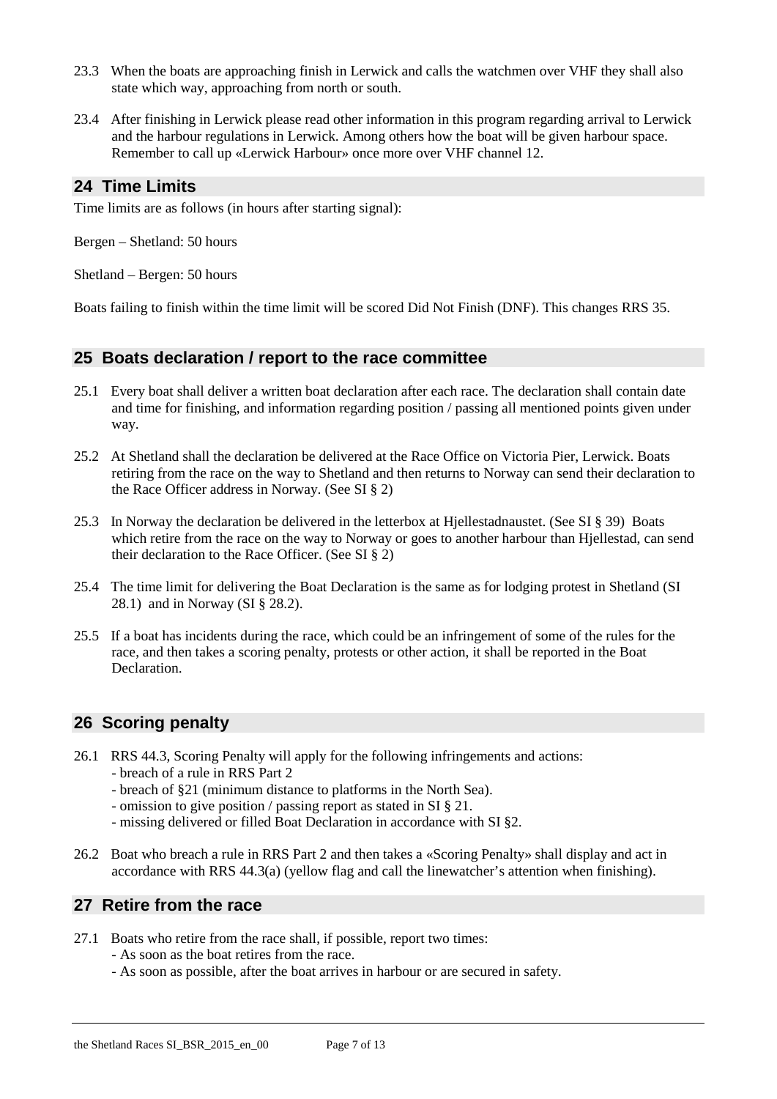- 23.3 When the boats are approaching finish in Lerwick and calls the watchmen over VHF they shall also state which way, approaching from north or south.
- 23.4 After finishing in Lerwick please read other information in this program regarding arrival to Lerwick and the harbour regulations in Lerwick. Among others how the boat will be given harbour space. Remember to call up «Lerwick Harbour» once more over VHF channel 12.

### <span id="page-6-0"></span>**24 Time Limits**

Time limits are as follows (in hours after starting signal):

Bergen – Shetland: 50 hours

Shetland – Bergen: 50 hours

Boats failing to finish within the time limit will be scored Did Not Finish (DNF). This changes RRS 35.

#### <span id="page-6-1"></span>**25 Boats declaration / report to the race committee**

- 25.1 Every boat shall deliver a written boat declaration after each race. The declaration shall contain date and time for finishing, and information regarding position / passing all mentioned points given under way.
- 25.2 At Shetland shall the declaration be delivered at the Race Office on Victoria Pier, Lerwick. Boats retiring from the race on the way to Shetland and then returns to Norway can send their declaration to the Race Officer address in Norway. (See SI § 2)
- 25.3 In Norway the declaration be delivered in the letterbox at Hjellestadnaustet. (See SI § 39) Boats which retire from the race on the way to Norway or goes to another harbour than Hjellestad, can send their declaration to the Race Officer. (See SI § 2)
- 25.4 The time limit for delivering the Boat Declaration is the same as for lodging protest in Shetland (SI 28.1) and in Norway (SI § 28.2).
- 25.5 If a boat has incidents during the race, which could be an infringement of some of the rules for the race, and then takes a scoring penalty, protests or other action, it shall be reported in the Boat **Declaration**

## <span id="page-6-2"></span>**26 Scoring penalty**

- 26.1 RRS 44.3, Scoring Penalty will apply for the following infringements and actions: - breach of a rule in RRS Part 2
	- breach of §21 (minimum distance to platforms in the North Sea).
	- omission to give position / passing report as stated in SI § 21.
	- missing delivered or filled Boat Declaration in accordance with SI §2.
- 26.2 Boat who breach a rule in RRS Part 2 and then takes a «Scoring Penalty» shall display and act in accordance with RRS 44.3(a) (yellow flag and call the linewatcher's attention when finishing).

### <span id="page-6-3"></span>**27 Retire from the race**

- 27.1 Boats who retire from the race shall, if possible, report two times:
	- As soon as the boat retires from the race.
	- As soon as possible, after the boat arrives in harbour or are secured in safety.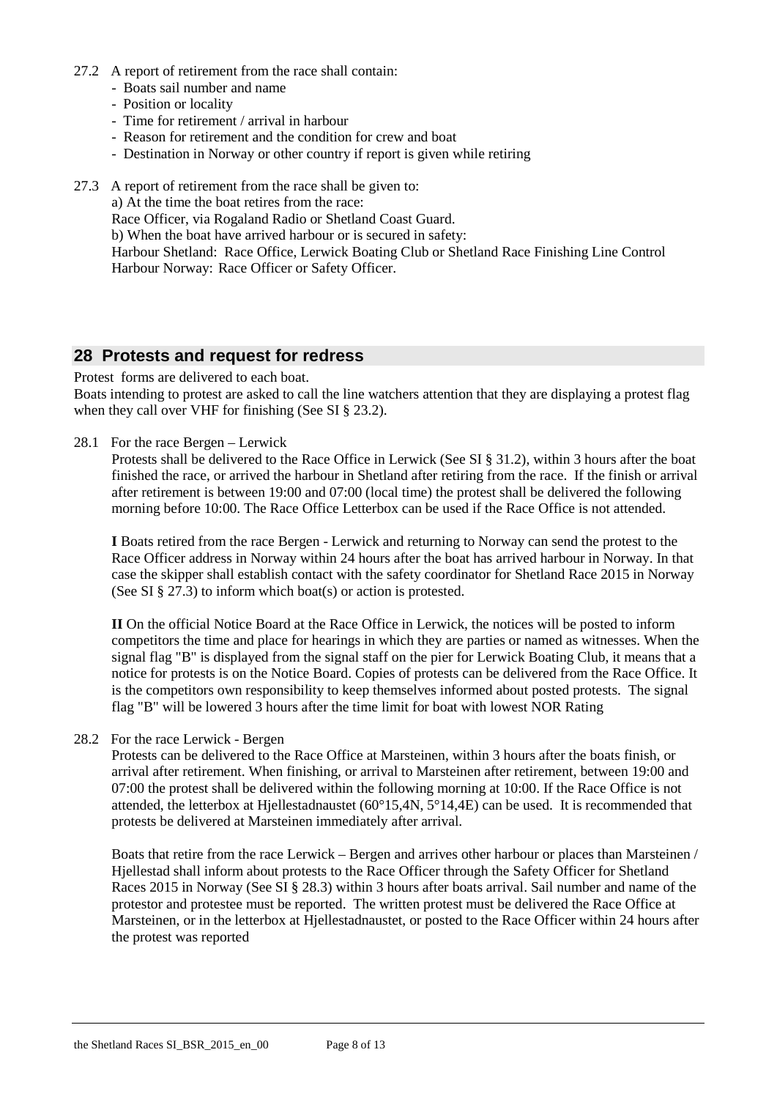- 27.2 A report of retirement from the race shall contain:
	- Boats sail number and name
	- Position or locality
	- Time for retirement / arrival in harbour
	- Reason for retirement and the condition for crew and boat
	- Destination in Norway or other country if report is given while retiring
- <span id="page-7-1"></span>27.3 A report of retirement from the race shall be given to:

a) At the time the boat retires from the race:

Race Officer, via Rogaland Radio or Shetland Coast Guard.

b) When the boat have arrived harbour or is secured in safety:

Harbour Shetland: Race Office, Lerwick Boating Club or Shetland Race Finishing Line Control Harbour Norway: Race Officer or Safety Officer.

#### <span id="page-7-0"></span>**28 Protests and request for redress**

#### Protest forms are delivered to each boat.

Boats intending to protest are asked to call the line watchers attention that they are displaying a protest flag when they call over VHF for finishing (See SI § 23.2).

28.1 For the race Bergen – Lerwick

Protests shall be delivered to the Race Office in Lerwick (See SI § [31.2\)](#page-8-3), within 3 hours after the boat finished the race, or arrived the harbour in Shetland after retiring from the race. If the finish or arrival after retirement is between 19:00 and 07:00 (local time) the protest shall be delivered the following morning before 10:00. The Race Office Letterbox can be used if the Race Office is not attended.

**I** Boats retired from the race Bergen - Lerwick and returning to Norway can send the protest to the Race Officer address in Norway within 24 hours after the boat has arrived harbour in Norway. In that case the skipper shall establish contact with the safety coordinator for Shetland Race 2015 in Norway (See SI § [27.3\)](#page-7-1) to inform which boat(s) or action is protested.

**II** On the official Notice Board at the Race Office in Lerwick, the notices will be posted to inform competitors the time and place for hearings in which they are parties or named as witnesses. When the signal flag "B" is displayed from the signal staff on the pier for Lerwick Boating Club, it means that a notice for protests is on the Notice Board. Copies of protests can be delivered from the Race Office. It is the competitors own responsibility to keep themselves informed about posted protests. The signal flag "B" will be lowered 3 hours after the time limit for boat with lowest NOR Rating

#### 28.2 For the race Lerwick - Bergen

Protests can be delivered to the Race Office at Marsteinen, within 3 hours after the boats finish, or arrival after retirement. When finishing, or arrival to Marsteinen after retirement, between 19:00 and 07:00 the protest shall be delivered within the following morning at 10:00. If the Race Office is not attended, the letterbox at Hjellestadnaustet (60°15,4N, 5°14,4E) can be used. It is recommended that protests be delivered at Marsteinen immediately after arrival.

Boats that retire from the race Lerwick – Bergen and arrives other harbour or places than Marsteinen / Hjellestad shall inform about protests to the Race Officer through the Safety Officer for Shetland Races 2015 in Norway (See SI § 28.3) within 3 hours after boats arrival. Sail number and name of the protestor and protestee must be reported. The written protest must be delivered the Race Office at Marsteinen, or in the letterbox at Hjellestadnaustet, or posted to the Race Officer within 24 hours after the protest was reported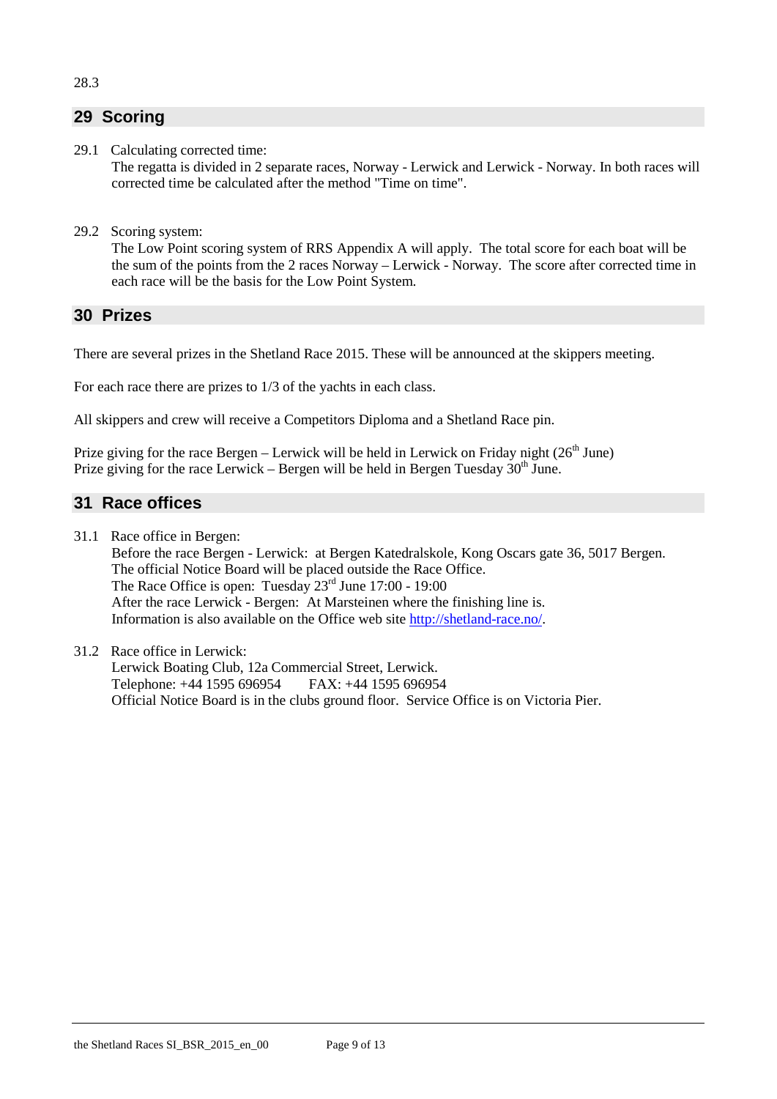## <span id="page-8-0"></span>**29 Scoring**

29.1 Calculating corrected time:

The regatta is divided in 2 separate races, Norway - Lerwick and Lerwick - Norway. In both races will corrected time be calculated after the method "Time on time".

29.2 Scoring system:

The Low Point scoring system of RRS Appendix A will apply. The total score for each boat will be the sum of the points from the 2 races Norway – Lerwick - Norway. The score after corrected time in each race will be the basis for the Low Point System.

## <span id="page-8-1"></span>**30 Prizes**

There are several prizes in the Shetland Race 2015. These will be announced at the skippers meeting.

For each race there are prizes to 1/3 of the yachts in each class.

All skippers and crew will receive a Competitors Diploma and a Shetland Race pin.

Prize giving for the race Bergen – Lerwick will be held in Lerwick on Friday night  $(26<sup>th</sup> June)$ Prize giving for the race Lerwick – Bergen will be held in Bergen Tuesday  $30<sup>th</sup>$  June.

## <span id="page-8-2"></span>**31 Race offices**

31.1 Race office in Bergen:

Before the race Bergen - Lerwick: at Bergen Katedralskole, Kong Oscars gate 36, 5017 Bergen. The official Notice Board will be placed outside the Race Office. The Race Office is open: Tuesday  $23<sup>rd</sup>$  June 17:00 - 19:00 After the race Lerwick - Bergen: At Marsteinen where the finishing line is. Information is also available on the Office web site [http://shetland-race.no/.](http://shetland-race.no/)

<span id="page-8-3"></span>31.2 Race office in Lerwick:

Lerwick Boating Club, 12a Commercial Street, Lerwick.<br>Telephone: +44 1595 696954 FAX: +44 1595 696954 Telephone: +44 1595 696954 Official Notice Board is in the clubs ground floor. Service Office is on Victoria Pier.

28.3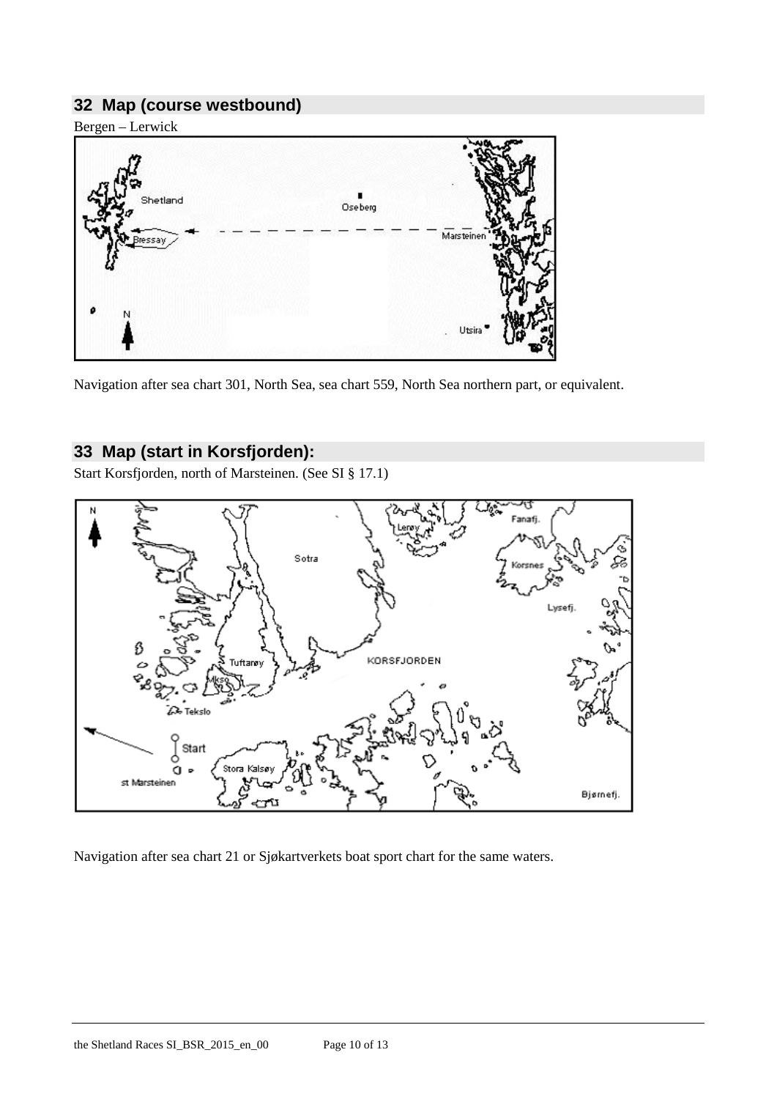# <span id="page-9-0"></span>**32 Map (course westbound)**

Bergen – Lerwick



Navigation after sea chart 301, North Sea, sea chart 559, North Sea northern part, or equivalent.

## <span id="page-9-1"></span>**33 Map (start in Korsfjorden):**

Start Korsfjorden, north of Marsteinen. (See SI § 17.1)



Navigation after sea chart 21 or Sjøkartverkets boat sport chart for the same waters.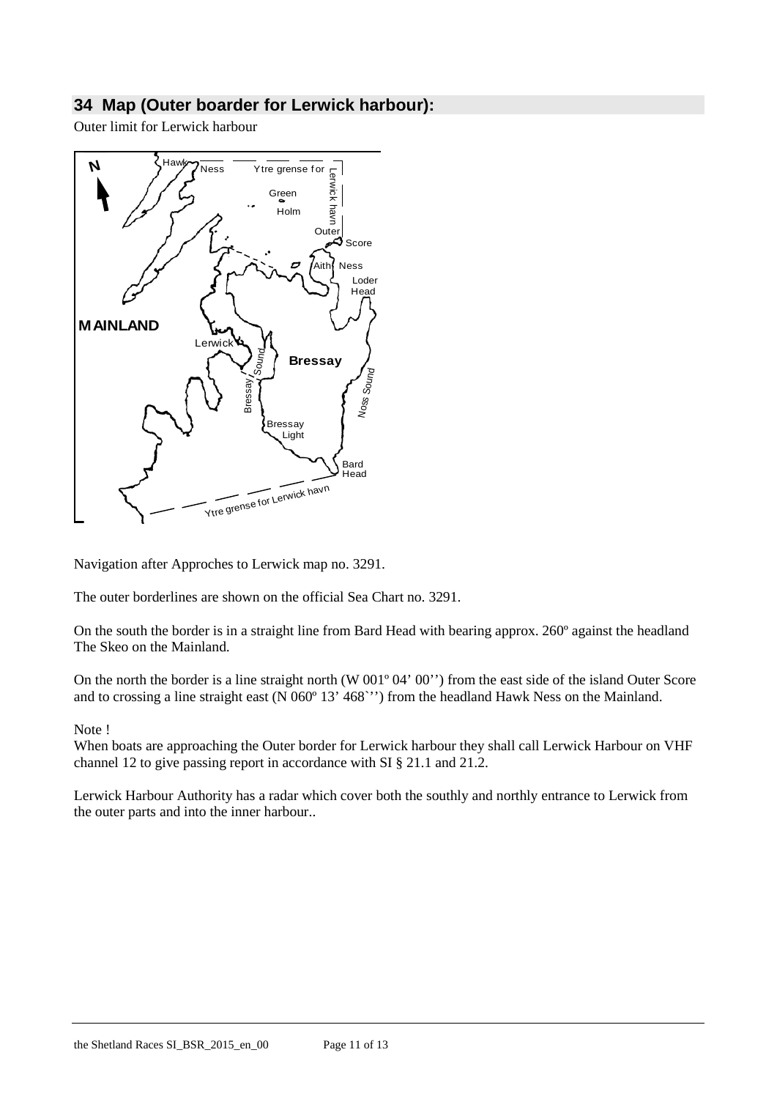## <span id="page-10-0"></span>**34 Map (Outer boarder for Lerwick harbour):**

Outer limit for Lerwick harbour



Navigation after Approches to Lerwick map no. 3291.

The outer borderlines are shown on the official Sea Chart no. 3291.

On the south the border is in a straight line from Bard Head with bearing approx. 260º against the headland The Skeo on the Mainland.

On the north the border is a line straight north (W 001º 04' 00'') from the east side of the island Outer Score and to crossing a line straight east (N 060º 13' 468`'') from the headland Hawk Ness on the Mainland.

#### Note !

When boats are approaching the Outer border for Lerwick harbour they shall call Lerwick Harbour on VHF channel 12 to give passing report in accordance with SI § 21.1 and 21.2.

Lerwick Harbour Authority has a radar which cover both the southly and northly entrance to Lerwick from the outer parts and into the inner harbour..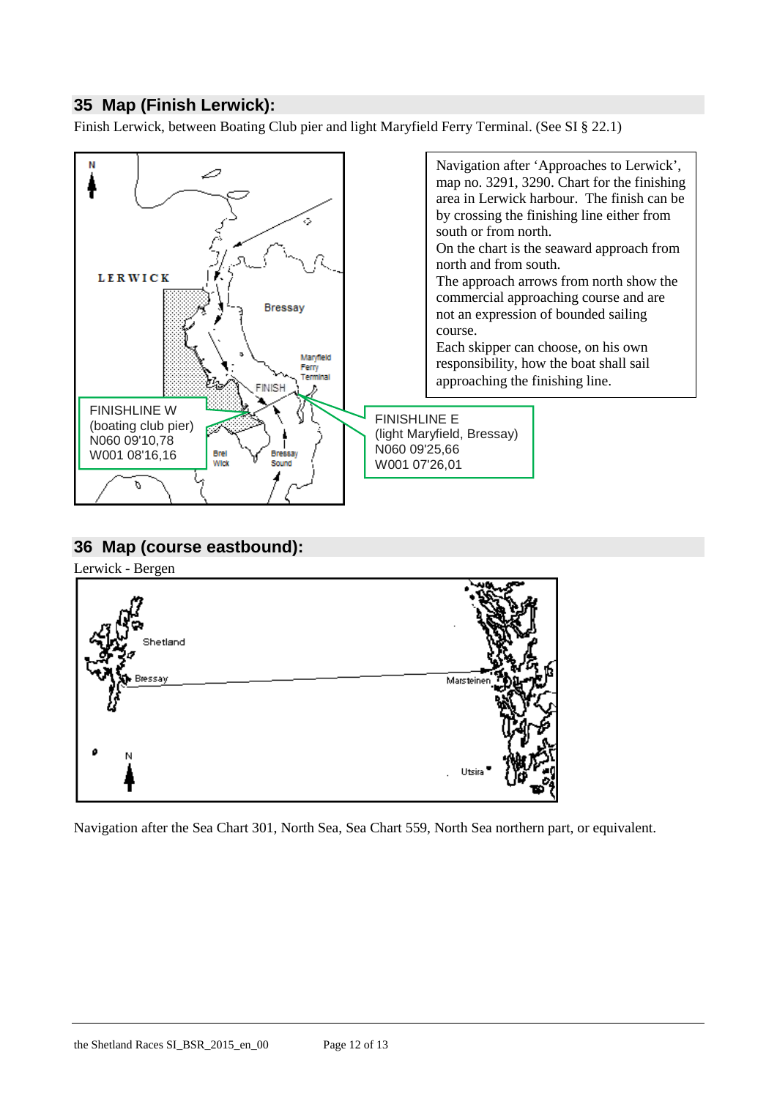## <span id="page-11-0"></span>**35 Map (Finish Lerwick):**

Finish Lerwick, between Boating Club pier and light Maryfield Ferry Terminal. (See SI § 22.1)



## <span id="page-11-1"></span>**36 Map (course eastbound):**



Navigation after the Sea Chart 301, North Sea, Sea Chart 559, North Sea northern part, or equivalent.